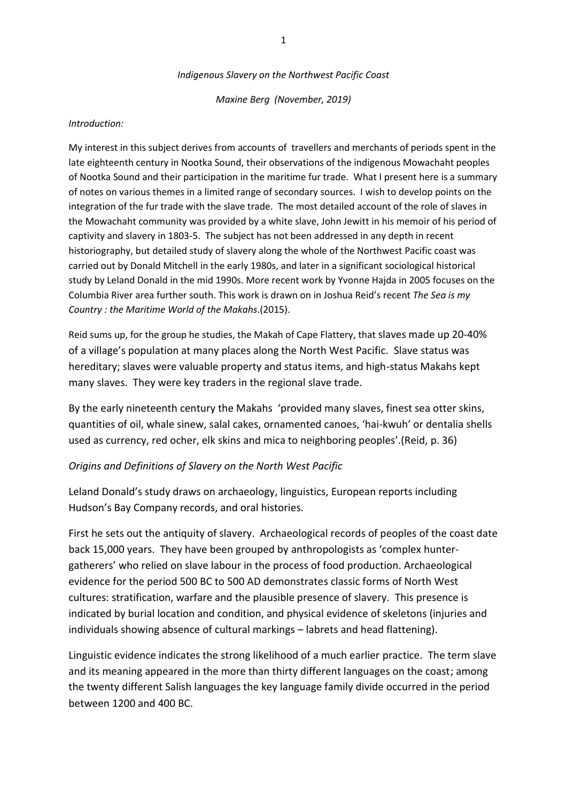#### *Indigenous Slavery on the Northwest Pacific Coast*

*Maxine Berg (November, 2019)*

#### *Introduction:*

My interest in this subject derives from accounts of travellers and merchants of periods spent in the late eighteenth century in Nootka Sound, their observations of the indigenous Mowachaht peoples of Nootka Sound and their participation in the maritime fur trade. What I present here is a summary of notes on various themes in a limited range of secondary sources. I wish to develop points on the integration of the fur trade with the slave trade. The most detailed account of the role of slaves in the Mowachaht community was provided by a white slave, John Jewitt in his memoir of his period of captivity and slavery in 1803-5. The subject has not been addressed in any depth in recent historiography, but detailed study of slavery along the whole of the Northwest Pacific coast was carried out by Donald Mitchell in the early 1980s, and later in a significant sociological historical study by Leland Donald in the mid 1990s. More recent work by Yvonne Hajda in 2005 focuses on the Columbia River area further south. This work is drawn on in Joshua Reid's recent *The Sea is my Country : the Maritime World of the Makahs*.(2015).

Reid sums up, for the group he studies, the Makah of Cape Flattery, that slaves made up 20-40% of a village's population at many places along the North West Pacific. Slave status was hereditary; slaves were valuable property and status items, and high-status Makahs kept many slaves. They were key traders in the regional slave trade.

By the early nineteenth century the Makahs 'provided many slaves, finest sea otter skins, quantities of oil, whale sinew, salal cakes, ornamented canoes, 'hai-kwuh' or dentalia shells used as currency, red ocher, elk skins and mica to neighboring peoples'.(Reid, p. 36)

## *Origins and Definitions of Slavery on the North West Pacific*

Leland Donald's study draws on archaeology, linguistics, European reports including Hudson's Bay Company records, and oral histories.

First he sets out the antiquity of slavery. Archaeological records of peoples of the coast date back 15,000 years. They have been grouped by anthropologists as 'complex huntergatherers' who relied on slave labour in the process of food production. Archaeological evidence for the period 500 BC to 500 AD demonstrates classic forms of North West cultures: stratification, warfare and the plausible presence of slavery. This presence is indicated by burial location and condition, and physical evidence of skeletons (injuries and individuals showing absence of cultural markings – labrets and head flattening).

Linguistic evidence indicates the strong likelihood of a much earlier practice. The term slave and its meaning appeared in the more than thirty different languages on the coast; among the twenty different Salish languages the key language family divide occurred in the period between 1200 and 400 BC.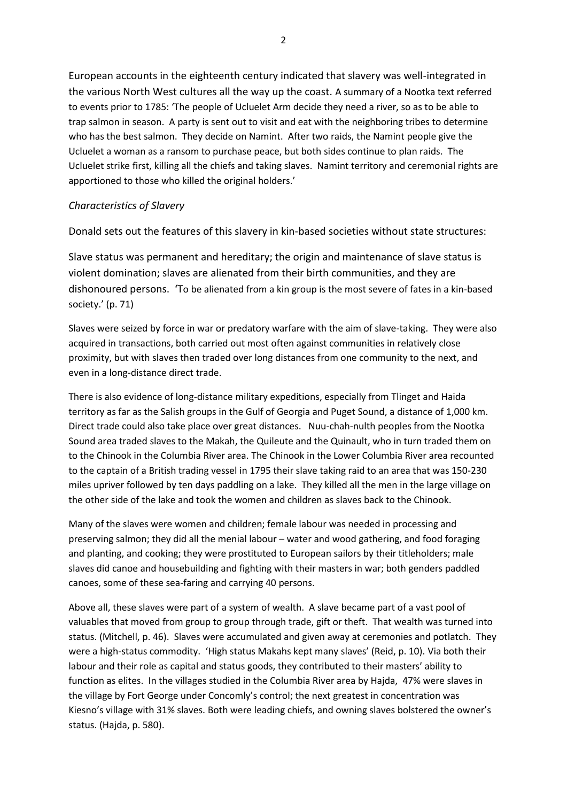European accounts in the eighteenth century indicated that slavery was well-integrated in the various North West cultures all the way up the coast. A summary of a Nootka text referred to events prior to 1785: 'The people of Ucluelet Arm decide they need a river, so as to be able to trap salmon in season. A party is sent out to visit and eat with the neighboring tribes to determine who has the best salmon. They decide on Namint. After two raids, the Namint people give the Ucluelet a woman as a ransom to purchase peace, but both sides continue to plan raids. The Ucluelet strike first, killing all the chiefs and taking slaves. Namint territory and ceremonial rights are apportioned to those who killed the original holders.'

# *Characteristics of Slavery*

Donald sets out the features of this slavery in kin-based societies without state structures:

Slave status was permanent and hereditary; the origin and maintenance of slave status is violent domination; slaves are alienated from their birth communities, and they are dishonoured persons. 'To be alienated from a kin group is the most severe of fates in a kin-based society.' (p. 71)

Slaves were seized by force in war or predatory warfare with the aim of slave-taking. They were also acquired in transactions, both carried out most often against communities in relatively close proximity, but with slaves then traded over long distances from one community to the next, and even in a long-distance direct trade.

There is also evidence of long-distance military expeditions, especially from Tlinget and Haida territory as far as the Salish groups in the Gulf of Georgia and Puget Sound, a distance of 1,000 km. Direct trade could also take place over great distances. Nuu-chah-nulth peoples from the Nootka Sound area traded slaves to the Makah, the Quileute and the Quinault, who in turn traded them on to the Chinook in the Columbia River area. The Chinook in the Lower Columbia River area recounted to the captain of a British trading vessel in 1795 their slave taking raid to an area that was 150-230 miles upriver followed by ten days paddling on a lake. They killed all the men in the large village on the other side of the lake and took the women and children as slaves back to the Chinook.

Many of the slaves were women and children; female labour was needed in processing and preserving salmon; they did all the menial labour – water and wood gathering, and food foraging and planting, and cooking; they were prostituted to European sailors by their titleholders; male slaves did canoe and housebuilding and fighting with their masters in war; both genders paddled canoes, some of these sea-faring and carrying 40 persons.

Above all, these slaves were part of a system of wealth. A slave became part of a vast pool of valuables that moved from group to group through trade, gift or theft. That wealth was turned into status. (Mitchell, p. 46). Slaves were accumulated and given away at ceremonies and potlatch. They were a high-status commodity. 'High status Makahs kept many slaves' (Reid, p. 10). Via both their labour and their role as capital and status goods, they contributed to their masters' ability to function as elites. In the villages studied in the Columbia River area by Hajda, 47% were slaves in the village by Fort George under Concomly's control; the next greatest in concentration was Kiesno's village with 31% slaves. Both were leading chiefs, and owning slaves bolstered the owner's status. (Hajda, p. 580).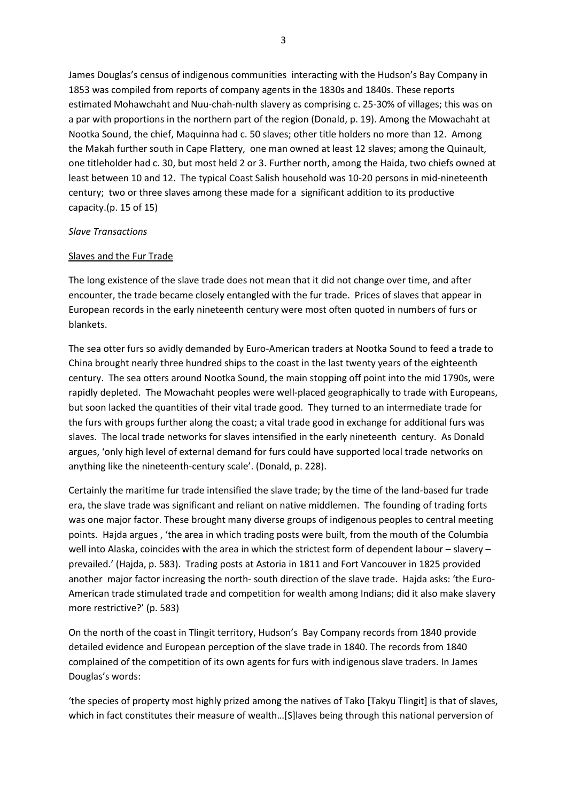James Douglas's census of indigenous communities interacting with the Hudson's Bay Company in 1853 was compiled from reports of company agents in the 1830s and 1840s. These reports estimated Mohawchaht and Nuu-chah-nulth slavery as comprising c. 25-30% of villages; this was on a par with proportions in the northern part of the region (Donald, p. 19). Among the Mowachaht at Nootka Sound, the chief, Maquinna had c. 50 slaves; other title holders no more than 12. Among the Makah further south in Cape Flattery, one man owned at least 12 slaves; among the Quinault, one titleholder had c. 30, but most held 2 or 3. Further north, among the Haida, two chiefs owned at least between 10 and 12. The typical Coast Salish household was 10-20 persons in mid-nineteenth century; two or three slaves among these made for a significant addition to its productive capacity.(p. 15 of 15)

#### *Slave Transactions*

#### Slaves and the Fur Trade

The long existence of the slave trade does not mean that it did not change over time, and after encounter, the trade became closely entangled with the fur trade. Prices of slaves that appear in European records in the early nineteenth century were most often quoted in numbers of furs or blankets.

The sea otter furs so avidly demanded by Euro-American traders at Nootka Sound to feed a trade to China brought nearly three hundred ships to the coast in the last twenty years of the eighteenth century. The sea otters around Nootka Sound, the main stopping off point into the mid 1790s, were rapidly depleted. The Mowachaht peoples were well-placed geographically to trade with Europeans, but soon lacked the quantities of their vital trade good. They turned to an intermediate trade for the furs with groups further along the coast; a vital trade good in exchange for additional furs was slaves. The local trade networks for slaves intensified in the early nineteenth century. As Donald argues, 'only high level of external demand for furs could have supported local trade networks on anything like the nineteenth-century scale'. (Donald, p. 228).

Certainly the maritime fur trade intensified the slave trade; by the time of the land-based fur trade era, the slave trade was significant and reliant on native middlemen. The founding of trading forts was one major factor. These brought many diverse groups of indigenous peoples to central meeting points. Hajda argues , 'the area in which trading posts were built, from the mouth of the Columbia well into Alaska, coincides with the area in which the strictest form of dependent labour – slavery – prevailed.' (Hajda, p. 583). Trading posts at Astoria in 1811 and Fort Vancouver in 1825 provided another major factor increasing the north- south direction of the slave trade. Hajda asks: 'the Euro-American trade stimulated trade and competition for wealth among Indians; did it also make slavery more restrictive?' (p. 583)

On the north of the coast in Tlingit territory, Hudson's Bay Company records from 1840 provide detailed evidence and European perception of the slave trade in 1840. The records from 1840 complained of the competition of its own agents for furs with indigenous slave traders. In James Douglas's words:

'the species of property most highly prized among the natives of Tako [Takyu Tlingit] is that of slaves, which in fact constitutes their measure of wealth…[S]laves being through this national perversion of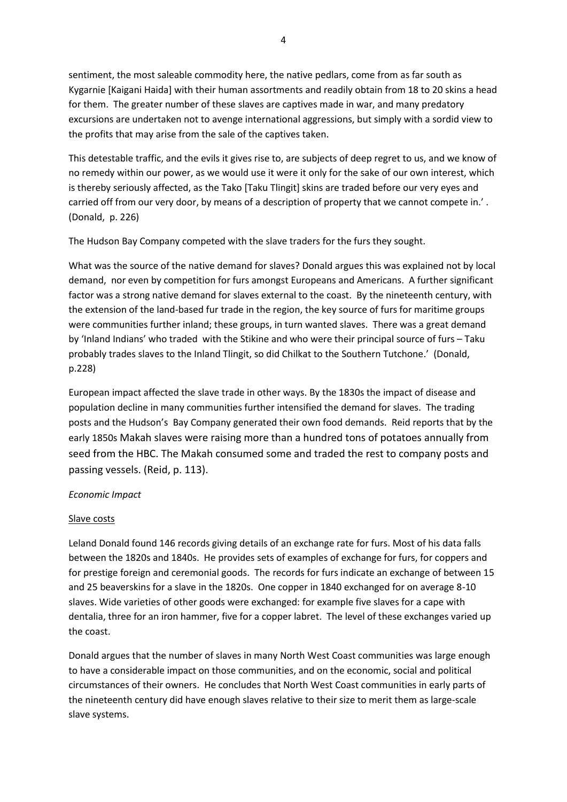sentiment, the most saleable commodity here, the native pedlars, come from as far south as Kygarnie [Kaigani Haida] with their human assortments and readily obtain from 18 to 20 skins a head for them. The greater number of these slaves are captives made in war, and many predatory excursions are undertaken not to avenge international aggressions, but simply with a sordid view to the profits that may arise from the sale of the captives taken.

This detestable traffic, and the evils it gives rise to, are subjects of deep regret to us, and we know of no remedy within our power, as we would use it were it only for the sake of our own interest, which is thereby seriously affected, as the Tako [Taku Tlingit] skins are traded before our very eyes and carried off from our very door, by means of a description of property that we cannot compete in.'. (Donald, p. 226)

The Hudson Bay Company competed with the slave traders for the furs they sought.

What was the source of the native demand for slaves? Donald argues this was explained not by local demand, nor even by competition for furs amongst Europeans and Americans. A further significant factor was a strong native demand for slaves external to the coast. By the nineteenth century, with the extension of the land-based fur trade in the region, the key source of furs for maritime groups were communities further inland; these groups, in turn wanted slaves. There was a great demand by 'Inland Indians' who traded with the Stikine and who were their principal source of furs – Taku probably trades slaves to the Inland Tlingit, so did Chilkat to the Southern Tutchone.' (Donald, p.228)

European impact affected the slave trade in other ways. By the 1830s the impact of disease and population decline in many communities further intensified the demand for slaves. The trading posts and the Hudson's Bay Company generated their own food demands. Reid reports that by the early 1850s Makah slaves were raising more than a hundred tons of potatoes annually from seed from the HBC. The Makah consumed some and traded the rest to company posts and passing vessels. (Reid, p. 113).

## *Economic Impact*

## Slave costs

Leland Donald found 146 records giving details of an exchange rate for furs. Most of his data falls between the 1820s and 1840s. He provides sets of examples of exchange for furs, for coppers and for prestige foreign and ceremonial goods. The records for furs indicate an exchange of between 15 and 25 beaverskins for a slave in the 1820s. One copper in 1840 exchanged for on average 8-10 slaves. Wide varieties of other goods were exchanged: for example five slaves for a cape with dentalia, three for an iron hammer, five for a copper labret. The level of these exchanges varied up the coast.

Donald argues that the number of slaves in many North West Coast communities was large enough to have a considerable impact on those communities, and on the economic, social and political circumstances of their owners. He concludes that North West Coast communities in early parts of the nineteenth century did have enough slaves relative to their size to merit them as large-scale slave systems.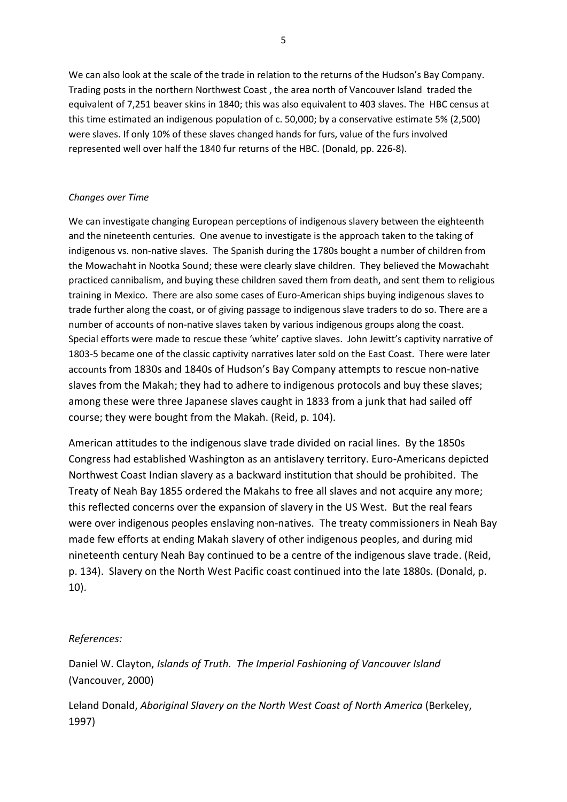We can also look at the scale of the trade in relation to the returns of the Hudson's Bay Company. Trading posts in the northern Northwest Coast , the area north of Vancouver Island traded the equivalent of 7,251 beaver skins in 1840; this was also equivalent to 403 slaves. The HBC census at this time estimated an indigenous population of c. 50,000; by a conservative estimate 5% (2,500) were slaves. If only 10% of these slaves changed hands for furs, value of the furs involved represented well over half the 1840 fur returns of the HBC. (Donald, pp. 226-8).

## *Changes over Time*

We can investigate changing European perceptions of indigenous slavery between the eighteenth and the nineteenth centuries. One avenue to investigate is the approach taken to the taking of indigenous vs. non-native slaves. The Spanish during the 1780s bought a number of children from the Mowachaht in Nootka Sound; these were clearly slave children. They believed the Mowachaht practiced cannibalism, and buying these children saved them from death, and sent them to religious training in Mexico. There are also some cases of Euro-American ships buying indigenous slaves to trade further along the coast, or of giving passage to indigenous slave traders to do so. There are a number of accounts of non-native slaves taken by various indigenous groups along the coast. Special efforts were made to rescue these 'white' captive slaves. John Jewitt's captivity narrative of 1803-5 became one of the classic captivity narratives later sold on the East Coast. There were later accounts from 1830s and 1840s of Hudson's Bay Company attempts to rescue non-native slaves from the Makah; they had to adhere to indigenous protocols and buy these slaves; among these were three Japanese slaves caught in 1833 from a junk that had sailed off course; they were bought from the Makah. (Reid, p. 104).

American attitudes to the indigenous slave trade divided on racial lines. By the 1850s Congress had established Washington as an antislavery territory. Euro-Americans depicted Northwest Coast Indian slavery as a backward institution that should be prohibited. The Treaty of Neah Bay 1855 ordered the Makahs to free all slaves and not acquire any more; this reflected concerns over the expansion of slavery in the US West. But the real fears were over indigenous peoples enslaving non-natives. The treaty commissioners in Neah Bay made few efforts at ending Makah slavery of other indigenous peoples, and during mid nineteenth century Neah Bay continued to be a centre of the indigenous slave trade. (Reid, p. 134). Slavery on the North West Pacific coast continued into the late 1880s. (Donald, p. 10).

# *References:*

Daniel W. Clayton, *Islands of Truth. The Imperial Fashioning of Vancouver Island* (Vancouver, 2000)

Leland Donald, *Aboriginal Slavery on the North West Coast of North America* (Berkeley, 1997)

5